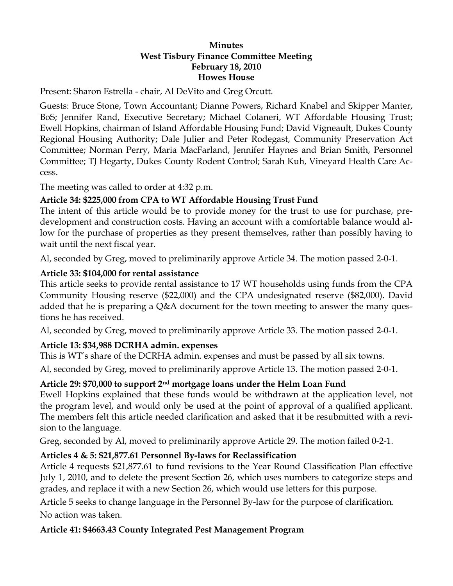#### **Minutes West Tisbury Finance Committee Meeting February 18, 2010 Howes House**

Present: Sharon Estrella - chair, Al DeVito and Greg Orcutt.

Guests: Bruce Stone, Town Accountant; Dianne Powers, Richard Knabel and Skipper Manter, BoS; Jennifer Rand, Executive Secretary; Michael Colaneri, WT Affordable Housing Trust; Ewell Hopkins, chairman of Island Affordable Housing Fund; David Vigneault, Dukes County Regional Housing Authority; Dale Julier and Peter Rodegast, Community Preservation Act Committee; Norman Perry, Maria MacFarland, Jennifer Haynes and Brian Smith, Personnel Committee; TJ Hegarty, Dukes County Rodent Control; Sarah Kuh, Vineyard Health Care Access.

The meeting was called to order at 4:32 p.m.

### **Article 34: \$225,000 from CPA to WT Affordable Housing Trust Fund**

The intent of this article would be to provide money for the trust to use for purchase, predevelopment and construction costs. Having an account with a comfortable balance would allow for the purchase of properties as they present themselves, rather than possibly having to wait until the next fiscal year.

Al, seconded by Greg, moved to preliminarily approve Article 34. The motion passed 2-0-1.

## **Article 33: \$104,000 for rental assistance**

This article seeks to provide rental assistance to 17 WT households using funds from the CPA Community Housing reserve (\$22,000) and the CPA undesignated reserve (\$82,000). David added that he is preparing a Q&A document for the town meeting to answer the many questions he has received.

Al, seconded by Greg, moved to preliminarily approve Article 33. The motion passed 2-0-1.

## **Article 13: \$34,988 DCRHA admin. expenses**

This is WT's share of the DCRHA admin. expenses and must be passed by all six towns.

Al, seconded by Greg, moved to preliminarily approve Article 13. The motion passed 2-0-1.

## **Article 29: \$70,000 to support 2nd mortgage loans under the Helm Loan Fund**

Ewell Hopkins explained that these funds would be withdrawn at the application level, not the program level, and would only be used at the point of approval of a qualified applicant. The members felt this article needed clarification and asked that it be resubmitted with a revision to the language.

Greg, seconded by Al, moved to preliminarily approve Article 29. The motion failed 0-2-1.

## **Articles 4 & 5: \$21,877.61 Personnel By-laws for Reclassification**

Article 4 requests \$21,877.61 to fund revisions to the Year Round Classification Plan effective July 1, 2010, and to delete the present Section 26, which uses numbers to categorize steps and grades, and replace it with a new Section 26, which would use letters for this purpose.

Article 5 seeks to change language in the Personnel By-law for the purpose of clarification. No action was taken.

## **Article 41: \$4663.43 County Integrated Pest Management Program**